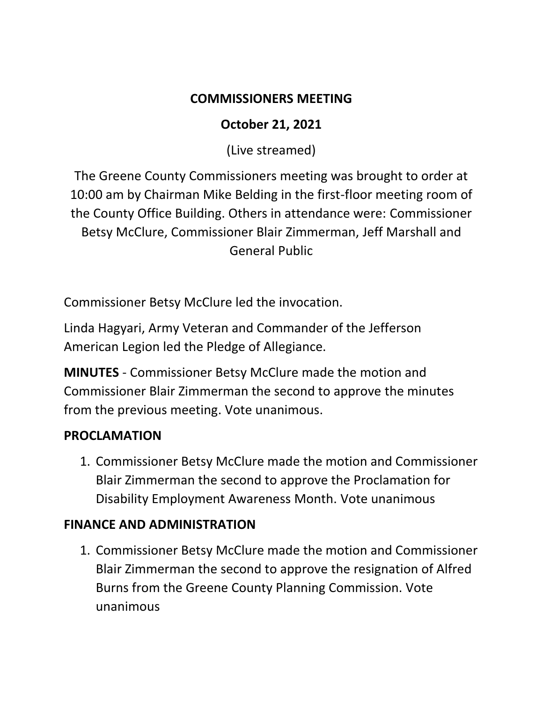### **COMMISSIONERS MEETING**

## **October 21, 2021**

(Live streamed)

The Greene County Commissioners meeting was brought to order at 10:00 am by Chairman Mike Belding in the first-floor meeting room of the County Office Building. Others in attendance were: Commissioner Betsy McClure, Commissioner Blair Zimmerman, Jeff Marshall and General Public

Commissioner Betsy McClure led the invocation.

Linda Hagyari, Army Veteran and Commander of the Jefferson American Legion led the Pledge of Allegiance.

**MINUTES** - Commissioner Betsy McClure made the motion and Commissioner Blair Zimmerman the second to approve the minutes from the previous meeting. Vote unanimous.

# **PROCLAMATION**

1. Commissioner Betsy McClure made the motion and Commissioner Blair Zimmerman the second to approve the Proclamation for Disability Employment Awareness Month. Vote unanimous

# **FINANCE AND ADMINISTRATION**

1. Commissioner Betsy McClure made the motion and Commissioner Blair Zimmerman the second to approve the resignation of Alfred Burns from the Greene County Planning Commission. Vote unanimous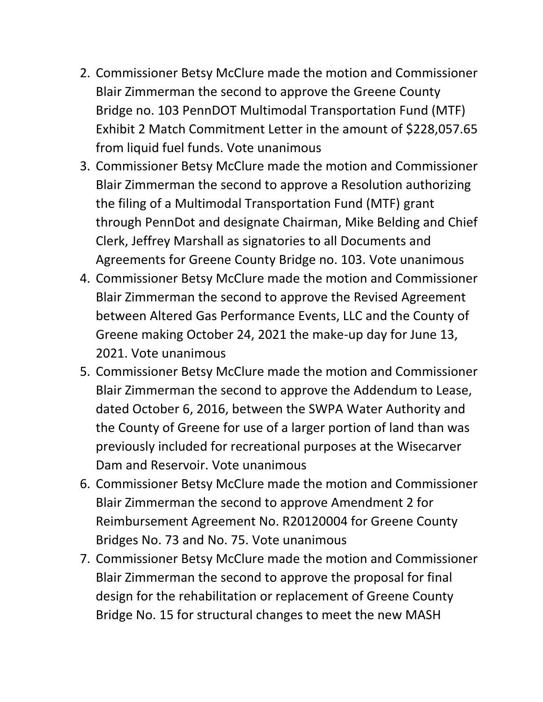- 2. Commissioner Betsy McClure made the motion and Commissioner Blair Zimmerman the second to approve the Greene County Bridge no. 103 PennDOT Multimodal Transportation Fund (MTF) Exhibit 2 Match Commitment Letter in the amount of \$228,057.65 from liquid fuel funds. Vote unanimous
- 3. Commissioner Betsy McClure made the motion and Commissioner Blair Zimmerman the second to approve a Resolution authorizing the filing of a Multimodal Transportation Fund (MTF) grant through PennDot and designate Chairman, Mike Belding and Chief Clerk, Jeffrey Marshall as signatories to all Documents and Agreements for Greene County Bridge no. 103. Vote unanimous
- 4. Commissioner Betsy McClure made the motion and Commissioner Blair Zimmerman the second to approve the Revised Agreement between Altered Gas Performance Events, LLC and the County of Greene making October 24, 2021 the make-up day for June 13, 2021. Vote unanimous
- 5. Commissioner Betsy McClure made the motion and Commissioner Blair Zimmerman the second to approve the Addendum to Lease, dated October 6, 2016, between the SWPA Water Authority and the County of Greene for use of a larger portion of land than was previously included for recreational purposes at the Wisecarver Dam and Reservoir. Vote unanimous
- 6. Commissioner Betsy McClure made the motion and Commissioner Blair Zimmerman the second to approve Amendment 2 for Reimbursement Agreement No. R20120004 for Greene County Bridges No. 73 and No. 75. Vote unanimous
- 7. Commissioner Betsy McClure made the motion and Commissioner Blair Zimmerman the second to approve the proposal for final design for the rehabilitation or replacement of Greene County Bridge No. 15 for structural changes to meet the new MASH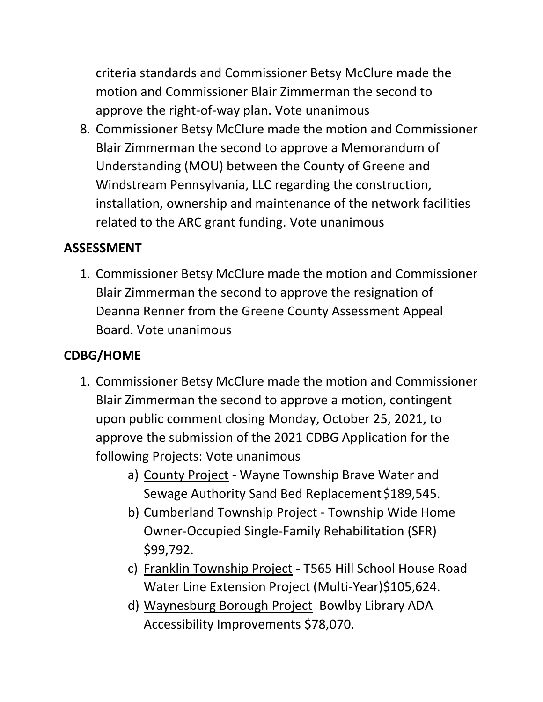criteria standards and Commissioner Betsy McClure made the motion and Commissioner Blair Zimmerman the second to approve the right-of-way plan. Vote unanimous

8. Commissioner Betsy McClure made the motion and Commissioner Blair Zimmerman the second to approve a Memorandum of Understanding (MOU) between the County of Greene and Windstream Pennsylvania, LLC regarding the construction, installation, ownership and maintenance of the network facilities related to the ARC grant funding. Vote unanimous

### **ASSESSMENT**

1. Commissioner Betsy McClure made the motion and Commissioner Blair Zimmerman the second to approve the resignation of Deanna Renner from the Greene County Assessment Appeal Board. Vote unanimous

# **CDBG/HOME**

- 1. Commissioner Betsy McClure made the motion and Commissioner Blair Zimmerman the second to approve a motion, contingent upon public comment closing Monday, October 25, 2021, to approve the submission of the 2021 CDBG Application for the following Projects: Vote unanimous
	- a) County Project Wayne Township Brave Water and Sewage Authority Sand Bed Replacement \$189,545.
	- b) Cumberland Township Project Township Wide Home Owner-Occupied Single-Family Rehabilitation (SFR) \$99,792.
	- c) Franklin Township Project T565 Hill School House Road Water Line Extension Project (Multi-Year)\$105,624.
	- d) Waynesburg Borough Project Bowlby Library ADA Accessibility Improvements \$78,070.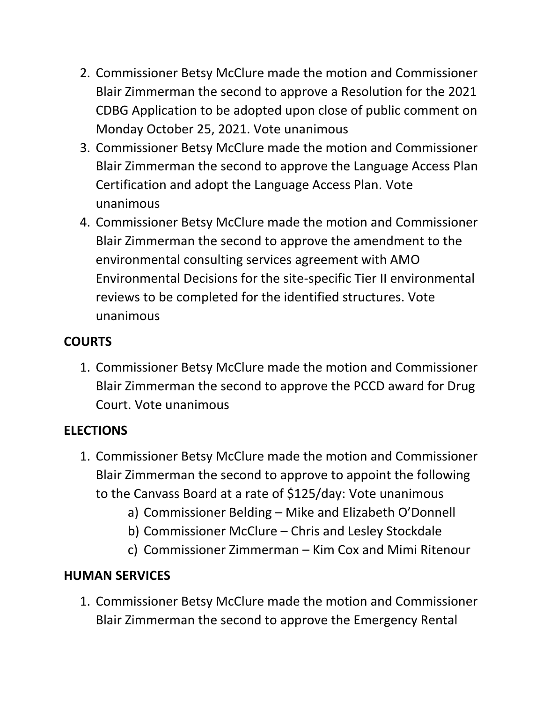- 2. Commissioner Betsy McClure made the motion and Commissioner Blair Zimmerman the second to approve a Resolution for the 2021 CDBG Application to be adopted upon close of public comment on Monday October 25, 2021. Vote unanimous
- 3. Commissioner Betsy McClure made the motion and Commissioner Blair Zimmerman the second to approve the Language Access Plan Certification and adopt the Language Access Plan. Vote unanimous
- 4. Commissioner Betsy McClure made the motion and Commissioner Blair Zimmerman the second to approve the amendment to the environmental consulting services agreement with AMO Environmental Decisions for the site-specific Tier II environmental reviews to be completed for the identified structures. Vote unanimous

### **COURTS**

1. Commissioner Betsy McClure made the motion and Commissioner Blair Zimmerman the second to approve the PCCD award for Drug Court. Vote unanimous

# **ELECTIONS**

- 1. Commissioner Betsy McClure made the motion and Commissioner Blair Zimmerman the second to approve to appoint the following to the Canvass Board at a rate of \$125/day: Vote unanimous
	- a) Commissioner Belding Mike and Elizabeth O'Donnell
	- b) Commissioner McClure Chris and Lesley Stockdale
	- c) Commissioner Zimmerman Kim Cox and Mimi Ritenour

# **HUMAN SERVICES**

1. Commissioner Betsy McClure made the motion and Commissioner Blair Zimmerman the second to approve the Emergency Rental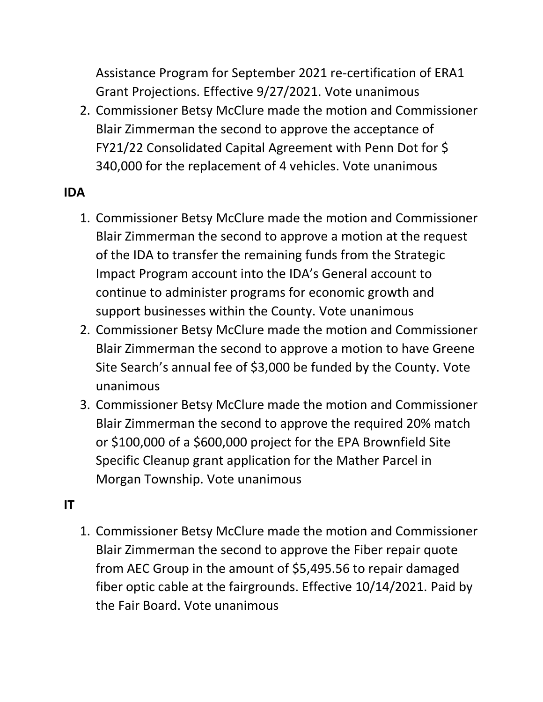Assistance Program for September 2021 re-certification of ERA1 Grant Projections. Effective 9/27/2021. Vote unanimous

2. Commissioner Betsy McClure made the motion and Commissioner Blair Zimmerman the second to approve the acceptance of FY21/22 Consolidated Capital Agreement with Penn Dot for \$ 340,000 for the replacement of 4 vehicles. Vote unanimous

#### **IDA**

- 1. Commissioner Betsy McClure made the motion and Commissioner Blair Zimmerman the second to approve a motion at the request of the IDA to transfer the remaining funds from the Strategic Impact Program account into the IDA's General account to continue to administer programs for economic growth and support businesses within the County. Vote unanimous
- 2. Commissioner Betsy McClure made the motion and Commissioner Blair Zimmerman the second to approve a motion to have Greene Site Search's annual fee of \$3,000 be funded by the County. Vote unanimous
- 3. Commissioner Betsy McClure made the motion and Commissioner Blair Zimmerman the second to approve the required 20% match or \$100,000 of a \$600,000 project for the EPA Brownfield Site Specific Cleanup grant application for the Mather Parcel in Morgan Township. Vote unanimous

#### **IT**

1. Commissioner Betsy McClure made the motion and Commissioner Blair Zimmerman the second to approve the Fiber repair quote from AEC Group in the amount of \$5,495.56 to repair damaged fiber optic cable at the fairgrounds. Effective 10/14/2021. Paid by the Fair Board. Vote unanimous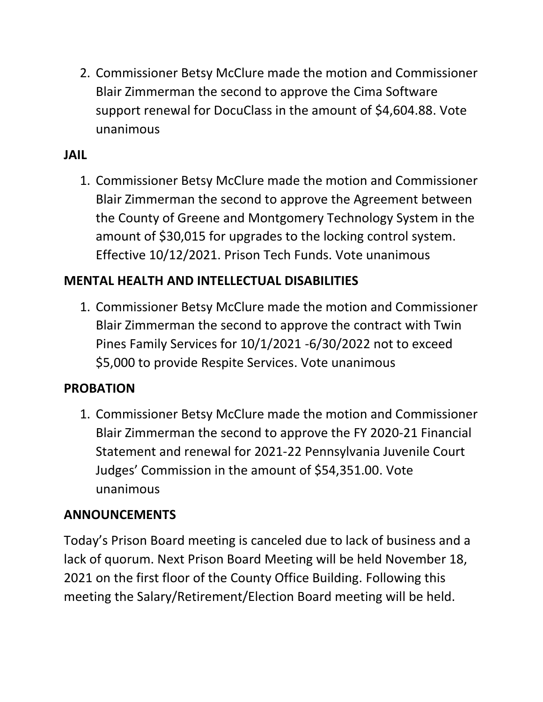2. Commissioner Betsy McClure made the motion and Commissioner Blair Zimmerman the second to approve the Cima Software support renewal for DocuClass in the amount of \$4,604.88. Vote unanimous

### **JAIL**

1. Commissioner Betsy McClure made the motion and Commissioner Blair Zimmerman the second to approve the Agreement between the County of Greene and Montgomery Technology System in the amount of \$30,015 for upgrades to the locking control system. Effective 10/12/2021. Prison Tech Funds. Vote unanimous

### **MENTAL HEALTH AND INTELLECTUAL DISABILITIES**

1. Commissioner Betsy McClure made the motion and Commissioner Blair Zimmerman the second to approve the contract with Twin Pines Family Services for 10/1/2021 -6/30/2022 not to exceed \$5,000 to provide Respite Services. Vote unanimous

#### **PROBATION**

1. Commissioner Betsy McClure made the motion and Commissioner Blair Zimmerman the second to approve the FY 2020-21 Financial Statement and renewal for 2021-22 Pennsylvania Juvenile Court Judges' Commission in the amount of \$54,351.00. Vote unanimous

### **ANNOUNCEMENTS**

Today's Prison Board meeting is canceled due to lack of business and a lack of quorum. Next Prison Board Meeting will be held November 18, 2021 on the first floor of the County Office Building. Following this meeting the Salary/Retirement/Election Board meeting will be held.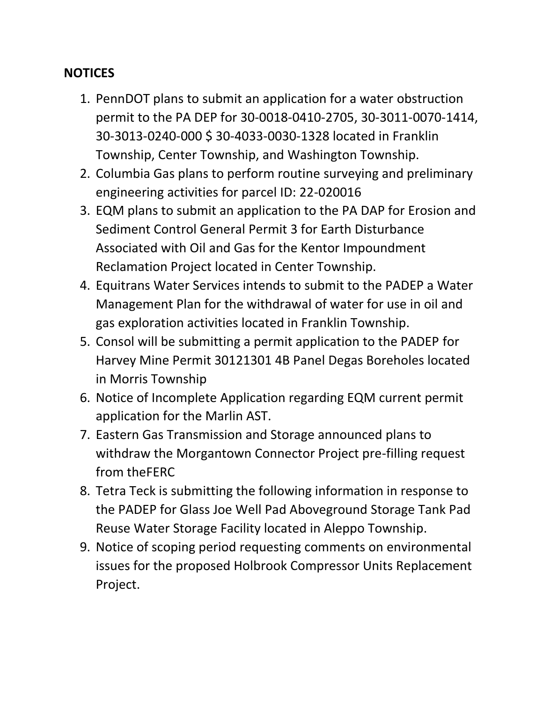#### **NOTICES**

- 1. PennDOT plans to submit an application for a water obstruction permit to the PA DEP for 30-0018-0410-2705, 30-3011-0070-1414, 30-3013-0240-000 \$ 30-4033-0030-1328 located in Franklin Township, Center Township, and Washington Township.
- 2. Columbia Gas plans to perform routine surveying and preliminary engineering activities for parcel ID: 22-020016
- 3. EQM plans to submit an application to the PA DAP for Erosion and Sediment Control General Permit 3 for Earth Disturbance Associated with Oil and Gas for the Kentor Impoundment Reclamation Project located in Center Township.
- 4. Equitrans Water Services intends to submit to the PADEP a Water Management Plan for the withdrawal of water for use in oil and gas exploration activities located in Franklin Township.
- 5. Consol will be submitting a permit application to the PADEP for Harvey Mine Permit 30121301 4B Panel Degas Boreholes located in Morris Township
- 6. Notice of Incomplete Application regarding EQM current permit application for the Marlin AST.
- 7. Eastern Gas Transmission and Storage announced plans to withdraw the Morgantown Connector Project pre-filling request from theFERC
- 8. Tetra Teck is submitting the following information in response to the PADEP for Glass Joe Well Pad Aboveground Storage Tank Pad Reuse Water Storage Facility located in Aleppo Township.
- 9. Notice of scoping period requesting comments on environmental issues for the proposed Holbrook Compressor Units Replacement Project.